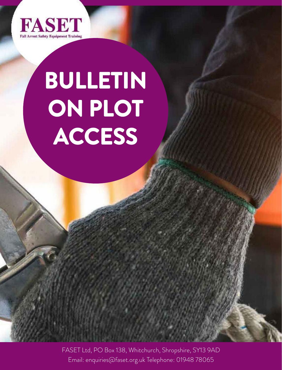

## **BULLETIN ON PLOT ACCESS**

FASET Ltd, PO Box 138, Whitchurch, Shropshire, SY13 9AD Email: enquiries@faset.org.uk Telephone: 01948 78065